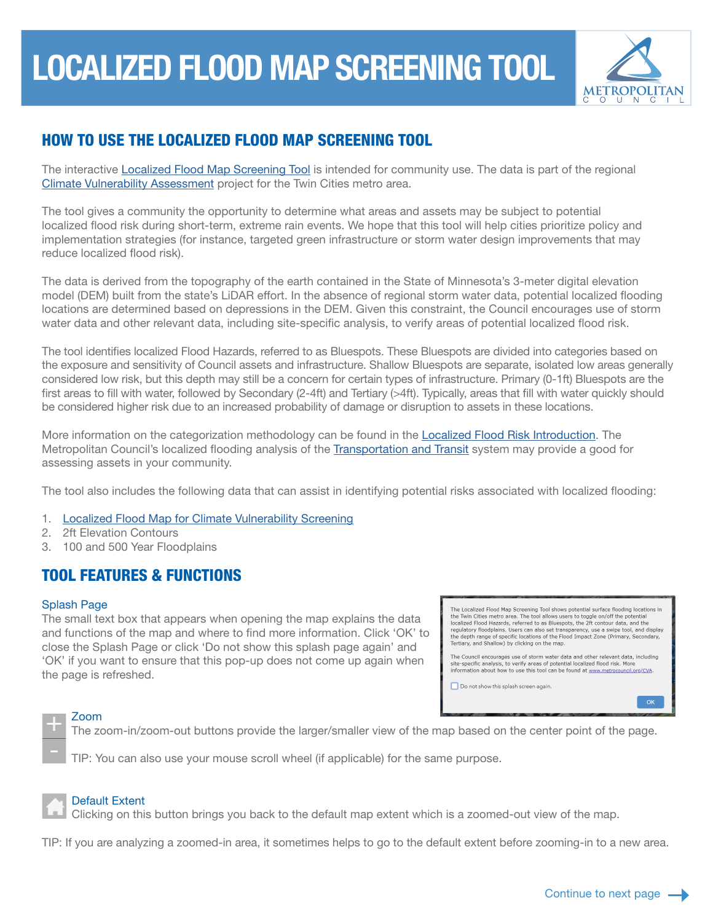

# HOW TO USE THE LOCALIZED FLOOD MAP SCREENING TOOL

The interactive [Localized Flood Map Screening Tool](https://metrocouncil.maps.arcgis.com/apps/webappviewer/index.html?id=100fa3012dcc4e288a74cbf4d95027bf) is intended for community use. The data is part of the regional [Climate Vulnerability Assessment](https://metrocouncil.org/Communities/Planning/Local-Planning-Assistance/CVA.aspx?source=child) project for the Twin Cities metro area.

The tool gives a community the opportunity to determine what areas and assets may be subject to potential localized flood risk during short-term, extreme rain events. We hope that this tool will help cities prioritize policy and implementation strategies (for instance, targeted green infrastructure or storm water design improvements that may reduce localized flood risk).

The data is derived from the topography of the earth contained in the State of Minnesota's 3-meter digital elevation model (DEM) built from the state's LiDAR effort. In the absence of regional storm water data, potential localized flooding locations are determined based on depressions in the DEM. Given this constraint, the Council encourages use of storm water data and other relevant data, including site-specific analysis, to verify areas of potential localized flood risk.

The tool identifies localized Flood Hazards, referred to as Bluespots. These Bluespots are divided into categories based on the exposure and sensitivity of Council assets and infrastructure. Shallow Bluespots are separate, isolated low areas generally considered low risk, but this depth may still be a concern for certain types of infrastructure. Primary (0-1ft) Bluespots are the first areas to fill with water, followed by Secondary (2-4ft) and Tertiary (>4ft). Typically, areas that fill with water quickly should be considered higher risk due to an increased probability of damage or disruption to assets in these locations.

More information on the categorization methodology can be found in the **Localized Flood Risk Introduction**. The Metropolitan Council's localized flooding analysis of the [Transportation and Transit](https://metrocouncil.org/Communities/Planning/Local-Planning-Assistance/CVA/Files/CVA-Localized-Flood-Risk,-Transportation-Transit.aspx) system may provide a good for assessing assets in your community.

The tool also includes the following data that can assist in identifying potential risks associated with localized flooding:

- 1. [Localized Flood Map for Climate Vulnerability Screening](https://gisdata.mn.gov/dataset/us-mn-state-metc-env-local-flood-screening)
- 2. 2ft Elevation Contours
- 3. 100 and 500 Year Floodplains

# TOOL FEATURES & FUNCTIONS

### Splash Page

The small text box that appears when opening the map explains the data and functions of the map and where to find more information. Click 'OK' to close the Splash Page or click 'Do not show this splash page again' and 'OK' if you want to ensure that this pop-up does not come up again when the page is refreshed.

The Localized Flood Map Screening Tool shows potential surface flooding locations in The Localized Hood Map Screening Tool shows potential surface incoding locations in<br>the Twin Cities metro area. The tool allows users to toggle on/off the potential<br>localized Flood Hazards, referred to as Bluespots, the 2f

The Council encourages use of storm water data and other relevant data, including<br>site-specific analysis, to verify areas of potential localized flood risk. More<br>information about how to use this tool can be found at www.m

Do not show this splash screen again.

### Zoom

The zoom-in/zoom-out buttons provide the larger/smaller view of the map based on the center point of the page.

TIP: You can also use your mouse scroll wheel (if applicable) for the same purpose.



### Default Extent

Clicking on this button brings you back to the default map extent which is a zoomed-out view of the map.

TIP: If you are analyzing a zoomed-in area, it sometimes helps to go to the default extent before zooming-in to a new area.

OK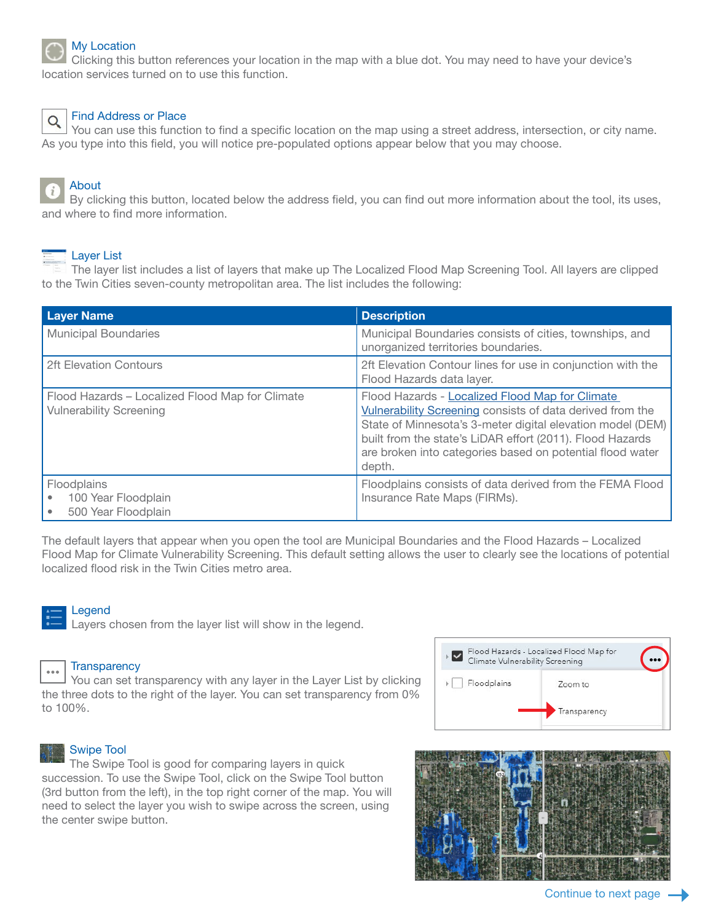

# My Location

Clicking this button references your location in the map with a blue dot. You may need to have your device's location services turned on to use this function.



### Find Address or Place

You can use this function to find a specific location on the map using a street address, intersection, or city name. As you type into this field, you will notice pre-populated options appear below that you may choose.

# About

By clicking this button, located below the address field, you can find out more information about the tool, its uses, and where to find more information.



Layer List

The layer list includes a list of layers that make up The Localized Flood Map Screening Tool. All layers are clipped to the Twin Cities seven-county metropolitan area. The list includes the following:

| <b>Layer Name</b>                                                                 | <b>Description</b>                                                                                                                                                                                                                                                                                                    |
|-----------------------------------------------------------------------------------|-----------------------------------------------------------------------------------------------------------------------------------------------------------------------------------------------------------------------------------------------------------------------------------------------------------------------|
| <b>Municipal Boundaries</b>                                                       | Municipal Boundaries consists of cities, townships, and<br>unorganized territories boundaries.                                                                                                                                                                                                                        |
| 2ft Elevation Contours                                                            | 2ft Elevation Contour lines for use in conjunction with the<br>Flood Hazards data layer.                                                                                                                                                                                                                              |
| Flood Hazards - Localized Flood Map for Climate<br><b>Vulnerability Screening</b> | Flood Hazards - Localized Flood Map for Climate<br><b>Vulnerability Screening consists of data derived from the</b><br>State of Minnesota's 3-meter digital elevation model (DEM)<br>built from the state's LiDAR effort (2011). Flood Hazards<br>are broken into categories based on potential flood water<br>depth. |
| Floodplains<br>100 Year Floodplain<br>500 Year Floodplain                         | Floodplains consists of data derived from the FEMA Flood<br>Insurance Rate Maps (FIRMs).                                                                                                                                                                                                                              |

The default layers that appear when you open the tool are Municipal Boundaries and the Flood Hazards – Localized Flood Map for Climate Vulnerability Screening. This default setting allows the user to clearly see the locations of potential localized flood risk in the Twin Cities metro area.



# Legend

Layers chosen from the layer list will show in the legend.



### **Transparency**

Swipe Tool

the center swipe button.

You can set transparency with any layer in the Layer List by clicking the three dots to the right of the layer. You can set transparency from 0% to 100%.

The Swipe Tool is good for comparing layers in quick succession. To use the Swipe Tool, click on the Swipe Tool button (3rd button from the left), in the top right corner of the map. You will need to select the layer you wish to swipe across the screen, using